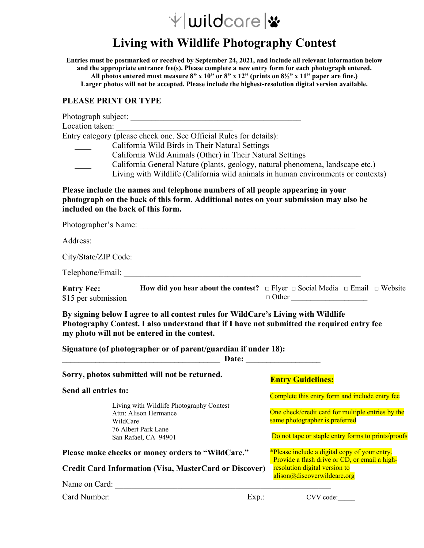# $\forall$ |wildcare|\*

# **Living with Wildlife Photography Contest**

**Entries must be postmarked or received by September 24, 2021, and include all relevant information below and the appropriate entrance fee(s). Please complete a new entry form for each photograph entered. All photos entered must measure 8" x 10" or 8" x 12" (prints on 8½" x 11" paper are fine.) Larger photos will not be accepted. Please include the highest-resolution digital version available.** 

#### **PLEASE PRINT OR TYPE**

| Location taken:<br>Entry category (please check one. See Official Rules for details):<br>California Wild Birds in Their Natural Settings                                                                                                                    |                                                                                                               |
|-------------------------------------------------------------------------------------------------------------------------------------------------------------------------------------------------------------------------------------------------------------|---------------------------------------------------------------------------------------------------------------|
| California Wild Animals (Other) in Their Natural Settings<br>California General Nature (plants, geology, natural phenomena, landscape etc.)<br>$\overline{\phantom{a}}$<br>Living with Wildlife (California wild animals in human environments or contexts) |                                                                                                               |
| Please include the names and telephone numbers of all people appearing in your<br>photograph on the back of this form. Additional notes on your submission may also be<br>included on the back of this form.                                                |                                                                                                               |
|                                                                                                                                                                                                                                                             |                                                                                                               |
|                                                                                                                                                                                                                                                             |                                                                                                               |
|                                                                                                                                                                                                                                                             |                                                                                                               |
|                                                                                                                                                                                                                                                             |                                                                                                               |
| <b>Entry Fee:</b> How did you hear about the contest? $\Box$ Flyer $\Box$ Social Media $\Box$ Email $\Box$ Website<br>\$15 per submission                                                                                                                   | $\Box$ Other                                                                                                  |
| By signing below I agree to all contest rules for WildCare's Living with Wildlife<br>Photography Contest. I also understand that if I have not submitted the required entry fee<br>my photo will not be entered in the contest.                             |                                                                                                               |
| Signature (of photographer or of parent/guardian if under 18):                                                                                                                                                                                              |                                                                                                               |
| Sorry, photos submitted will not be returned.                                                                                                                                                                                                               | <b>Entry Guidelines:</b>                                                                                      |
| Send all entries to:<br>Living with Wildlife Photography Contest<br>Attn: Alison Hermance<br>WildCare                                                                                                                                                       | Complete this entry form and include entry fee                                                                |
|                                                                                                                                                                                                                                                             | One check/credit card for multiple entries by the<br>same photographer is preferred                           |
| 76 Albert Park Lane<br>San Rafael, CA 94901                                                                                                                                                                                                                 | Do not tape or staple entry forms to prints/proofs                                                            |
| Please make checks or money orders to "WildCare."                                                                                                                                                                                                           | *Please include a digital copy of your entry.                                                                 |
| <b>Credit Card Information (Visa, MasterCard or Discover)</b>                                                                                                                                                                                               | Provide a flash drive or CD, or email a high-<br>resolution digital version to<br>alison@discoverwildcare.org |
| Name on Card:                                                                                                                                                                                                                                               |                                                                                                               |
| Card Number:<br>Exp.:                                                                                                                                                                                                                                       | CVV code:                                                                                                     |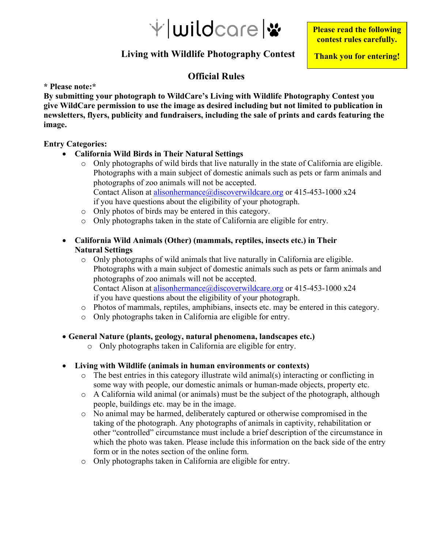

**Please read the following contest rules carefully.** 

**Thank you for entering!** 

## **Living with Wildlife Photography Contest**

### **Official Rules**

**\* Please note:\*** 

**By submitting your photograph to WildCare's Living with Wildlife Photography Contest you give WildCare permission to use the image as desired including but not limited to publication in newsletters, flyers, publicity and fundraisers, including the sale of prints and cards featuring the image.** 

#### **Entry Categories:**

- **California Wild Birds in Their Natural Settings** 
	- o Only photographs of wild birds that live naturally in the state of California are eligible. Photographs with a main subject of domestic animals such as pets or farm animals and photographs of zoo animals will not be accepted. Contact Alison at alisonhermance@discoverwildcare.org or 415-453-1000 x24 if you have questions about the eligibility of your photograph.
	- o Only photos of birds may be entered in this category.
	- o Only photographs taken in the state of California are eligible for entry.

#### **California Wild Animals (Other) (mammals, reptiles, insects etc.) in Their Natural Settings**

- $\circ$  Only photographs of wild animals that live naturally in California are eligible. Photographs with a main subject of domestic animals such as pets or farm animals and photographs of zoo animals will not be accepted. Contact Alison at alisonhermance@discoverwildcare.org or 415-453-1000 x24 if you have questions about the eligibility of your photograph.
- o Photos of mammals, reptiles, amphibians, insects etc. may be entered in this category.
- o Only photographs taken in California are eligible for entry.
- **General Nature (plants, geology, natural phenomena, landscapes etc.)** 
	- o Only photographs taken in California are eligible for entry.
- **Living with Wildlife (animals in human environments or contexts)** 
	- o The best entries in this category illustrate wild animal(s) interacting or conflicting in some way with people, our domestic animals or human-made objects, property etc.
	- o A California wild animal (or animals) must be the subject of the photograph, although people, buildings etc. may be in the image.
	- o No animal may be harmed, deliberately captured or otherwise compromised in the taking of the photograph. Any photographs of animals in captivity, rehabilitation or other "controlled" circumstance must include a brief description of the circumstance in which the photo was taken. Please include this information on the back side of the entry form or in the notes section of the online form.
	- o Only photographs taken in California are eligible for entry.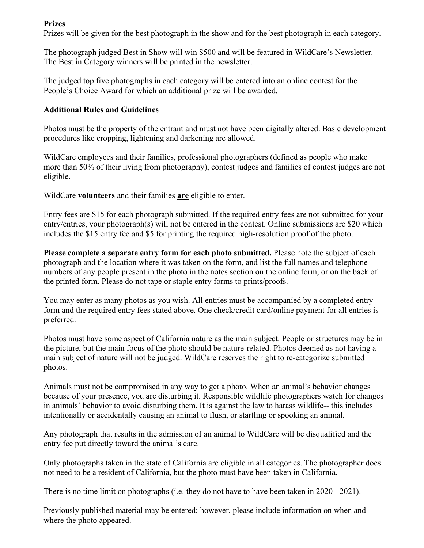#### **Prizes**

Prizes will be given for the best photograph in the show and for the best photograph in each category.

The photograph judged Best in Show will win \$500 and will be featured in WildCare's Newsletter. The Best in Category winners will be printed in the newsletter.

The judged top five photographs in each category will be entered into an online contest for the People's Choice Award for which an additional prize will be awarded.

#### **Additional Rules and Guidelines**

Photos must be the property of the entrant and must not have been digitally altered. Basic development procedures like cropping, lightening and darkening are allowed.

WildCare employees and their families, professional photographers (defined as people who make more than 50% of their living from photography), contest judges and families of contest judges are not eligible.

WildCare **volunteers** and their families **are** eligible to enter.

Entry fees are \$15 for each photograph submitted. If the required entry fees are not submitted for your entry/entries, your photograph(s) will not be entered in the contest. Online submissions are \$20 which includes the \$15 entry fee and \$5 for printing the required high-resolution proof of the photo.

**Please complete a separate entry form for each photo submitted.** Please note the subject of each photograph and the location where it was taken on the form, and list the full names and telephone numbers of any people present in the photo in the notes section on the online form, or on the back of the printed form. Please do not tape or staple entry forms to prints/proofs.

You may enter as many photos as you wish. All entries must be accompanied by a completed entry form and the required entry fees stated above. One check/credit card/online payment for all entries is preferred.

Photos must have some aspect of California nature as the main subject. People or structures may be in the picture, but the main focus of the photo should be nature-related. Photos deemed as not having a main subject of nature will not be judged. WildCare reserves the right to re-categorize submitted photos.

Animals must not be compromised in any way to get a photo. When an animal's behavior changes because of your presence, you are disturbing it. Responsible wildlife photographers watch for changes in animals' behavior to avoid disturbing them. It is against the law to harass wildlife-- this includes intentionally or accidentally causing an animal to flush, or startling or spooking an animal.

Any photograph that results in the admission of an animal to WildCare will be disqualified and the entry fee put directly toward the animal's care.

Only photographs taken in the state of California are eligible in all categories. The photographer does not need to be a resident of California, but the photo must have been taken in California.

There is no time limit on photographs (i.e. they do not have to have been taken in 2020 - 2021).

Previously published material may be entered; however, please include information on when and where the photo appeared.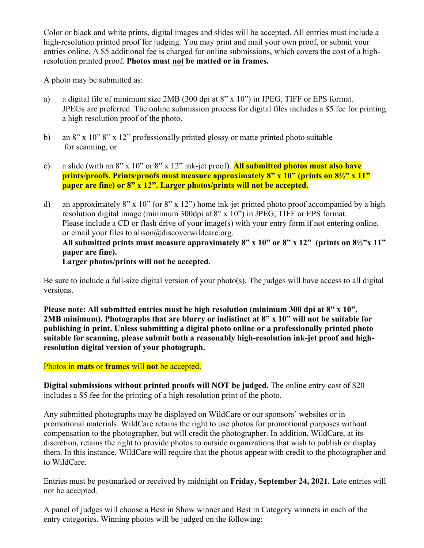Color or black and white prints, digital images and slides will be accepted. All entries must include a high-resolution printed proof for judging. You may print and mail your own proof, or submit your entries online. A \$5 additional fee is charged for online submissions, which covers the cost of a highresolution printed proof. **Photos must not be matted or in frames.** 

A photo may be submitted as:

- a) a digital file of minimum size 2MB (300 dpi at 8" x 10") in JPEG, TIFF or EPS format. JPEGs are preferred. The online submission process for digital files includes a \$5 fee for printing a high resolution proof of the photo.
- b) an 8" x 10" 8" x 12" professionally printed glossy or matte printed photo suitable for scanning, or
- c) a slide (with an 8" x 10" or 8" x 12" ink-jet proof). **All submitted photos must also have prints/proofs. Prints/proofs must measure approximately 8" x 10" (prints on 8½" x 11" paper are fine) or 8" x 12". Larger photos/prints will not be accepted.**
- d) an approximately 8" x 10" (or 8" x 12") home ink-jet printed photo proof accompanied by a high resolution digital image (minimum 300dpi at 8" x 10") in JPEG, TIFF or EPS format. Please include a CD or flash drive of your image(s) with your entry form if not entering online, or email your files to alison@discoverwildcare.org. **All submitted prints must measure approximately 8" x 10" or 8" x 12" (prints on 8½"x 11" paper are fine). Larger photos/prints will not be accepted.**

Be sure to include a full-size digital version of your photo(s). The judges will have access to all digital versions.

**Please note: All submitted entries must be high resolution (minimum 300 dpi at 8" x 10", 2MB minimum). Photographs that are blurry or indistinct at 8" x 10" will not be suitable for publishing in print. Unless submitting a digital photo online or a professionally printed photo suitable for scanning, please submit both a reasonably high-resolution ink-jet proof and highresolution digital version of your photograph.** 

#### Photos in **mats** or **frames** will **not** be accepted.

**Digital submissions without printed proofs will NOT be judged.** The online entry cost of \$20 includes a \$5 fee for the printing of a high-resolution print of the photo.

Any submitted photographs may be displayed on WildCare or our sponsors' websites or in promotional materials. WildCare retains the right to use photos for promotional purposes without compensation to the photographer, but will credit the photographer. In addition, WildCare, at its discretion, retains the right to provide photos to outside organizations that wish to publish or display them. In this instance, WildCare will require that the photos appear with credit to the photographer and to WildCare.

Entries must be postmarked or received by midnight on **Friday, September 24, 2021.** Late entries will not be accepted.

A panel of judges will choose a Best in Show winner and Best in Category winners in each of the entry categories. Winning photos will be judged on the following: